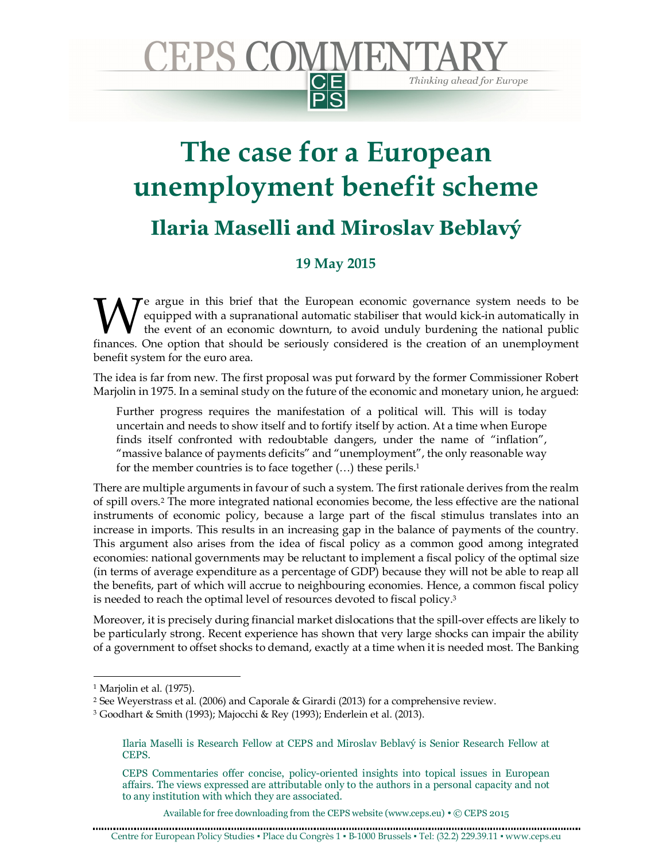## **JEPS COMMEN CE** Thinking ahead for Europe

## **The case for a European unemployment benefit scheme Ilaria Maselli and Miroslav Beblavý**

## **19 May 2015**

 $\mathcal T$ e argue in this brief that the European economic governance system needs to be equipped with a supranational automatic stabiliser that would kick-in automatically in the event of an economic downturn, to avoid unduly burdening the national public We argue in this brief that the European economic governance system needs to be equipped with a supranational automatic stabiliser that would kick-in automatically in the event of an economic downturn, to avoid unduly burd benefit system for the euro area.

The idea is far from new. The first proposal was put forward by the former Commissioner Robert Marjolin in 1975. In a seminal study on the future of the economic and monetary union, he argued:

Further progress requires the manifestation of a political will. This will is today uncertain and needs to show itself and to fortify itself by action. At a time when Europe finds itself confronted with redoubtable dangers, under the name of "inflation", "massive balance of payments deficits" and "unemployment", the only reasonable way for the member countries is to face together (…) these perils. 1

There are multiple arguments in favour of such a system. The first rationale derives from the realm of spill overs. <sup>2</sup> The more integrated national economies become, the less effective are the national instruments of economic policy, because a large part of the fiscal stimulus translates into an increase in imports. This results in an increasing gap in the balance of payments of the country. This argument also arises from the idea of fiscal policy as a common good among integrated economies: national governments may be reluctant to implement a fiscal policy of the optimal size (in terms of average expenditure as a percentage of GDP) because they will not be able to reap all the benefits, part of which will accrue to neighbouring economies. Hence, a common fiscal policy is needed to reach the optimal level of resources devoted to fiscal policy. 3

Moreover, it is precisely during financial market dislocations that the spill-over effects are likely to be particularly strong. Recent experience has shown that very large shocks can impair the ability of a government to offset shocks to demand, exactly at a time when it is needed most. The Banking

-

Available for free downloading from the CEPS website (www.ceps.eu) . © CEPS 2015

<sup>1</sup> Marjolin et al. (1975).

<sup>2</sup> See Weyerstrass et al. (2006) and Caporale & Girardi (2013) for a comprehensive review.

<sup>3</sup> Goodhart & Smith (1993); Majocchi & Rey (1993); Enderlein et al. (2013).

Ilaria Maselli is Research Fellow at CEPS and Miroslav Beblavý is Senior Research Fellow at CEPS.

CEPS Commentaries offer concise, policy-oriented insights into topical issues in European affairs. The views expressed are attributable only to the authors in a personal capacity and not to any institution with which they are associated.

Centre for European Policy Studies ▪ Place du Congrès 1 ▪ B-1000 Brussels ▪ Tel: (32.2) 229.39.11 ▪ www.ceps.eu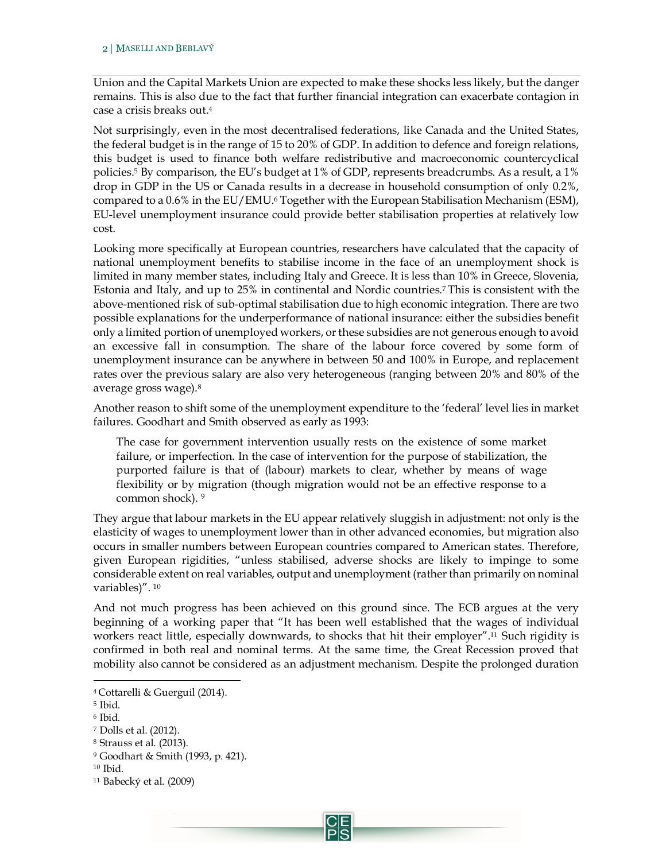Union and the Capital Markets Union are expected to make these shocks less likely, but the danger remains. This is also due to the fact that further financial integration can exacerbate contagion in case a crisis breaks out.<sup>4</sup>

Not surprisingly, even in the most decentralised federations, like Canada and the United States, the federal budget is in the range of 15 to 20% of GDP. In addition to defence and foreign relations, this budget is used to finance both welfare redistributive and macroeconomic countercyclical policies.<sup>5</sup> By comparison, the EU's budget at 1% of GDP, represents breadcrumbs. As a result, a 1% drop in GDP in the US or Canada results in a decrease in household consumption of only 0.2%, compared to a 0.6% in the EU/EMU.<sup>6</sup> Together with the European Stabilisation Mechanism (ESM), EU-level unemployment insurance could provide better stabilisation properties at relatively low cost.

Looking more specifically at European countries, researchers have calculated that the capacity of national unemployment benefits to stabilise income in the face of an unemployment shock is limited in many member states, including Italy and Greece. It is less than 10% in Greece, Slovenia, Estonia and Italy, and up to 25% in continental and Nordic countries. <sup>7</sup> This is consistent with the above-mentioned risk of sub-optimal stabilisation due to high economic integration. There are two possible explanations for the underperformance of national insurance: either the subsidies benefit only a limited portion of unemployed workers, or these subsidies are not generous enough to avoid an excessive fall in consumption. The share of the labour force covered by some form of unemployment insurance can be anywhere in between 50 and 100% in Europe, and replacement rates over the previous salary are also very heterogeneous (ranging between 20% and 80% of the average gross wage).<sup>8</sup>

Another reason to shift some of the unemployment expenditure to the 'federal' level lies in market failures. Goodhart and Smith observed as early as 1993:

The case for government intervention usually rests on the existence of some market failure, or imperfection. In the case of intervention for the purpose of stabilization, the purported failure is that of (labour) markets to clear, whether by means of wage flexibility or by migration (though migration would not be an effective response to a common shock). 9

They argue that labour markets in the EU appear relatively sluggish in adjustment: not only is the elasticity of wages to unemployment lower than in other advanced economies, but migration also occurs in smaller numbers between European countries compared to American states. Therefore, given European rigidities, "unless stabilised, adverse shocks are likely to impinge to some considerable extent on real variables, output and unemployment (rather than primarily on nominal variables)". <sup>10</sup>

And not much progress has been achieved on this ground since. The ECB argues at the very beginning of a working paper that "It has been well established that the wages of individual workers react little, especially downwards, to shocks that hit their employer".<sup>11</sup> Such rigidity is confirmed in both real and nominal terms. At the same time, the Great Recession proved that mobility also cannot be considered as an adjustment mechanism. Despite the prolonged duration

j

<sup>4</sup> Cottarelli & Guerguil (2014).

<sup>5</sup> Ibid.

<sup>6</sup> Ibid.

<sup>7</sup> Dolls et al. (2012).

<sup>8</sup> Strauss et al. (2013).

<sup>9</sup> Goodhart & Smith (1993, p. 421).

<sup>10</sup> Ibid.

<sup>11</sup> Babecký et al. (2009)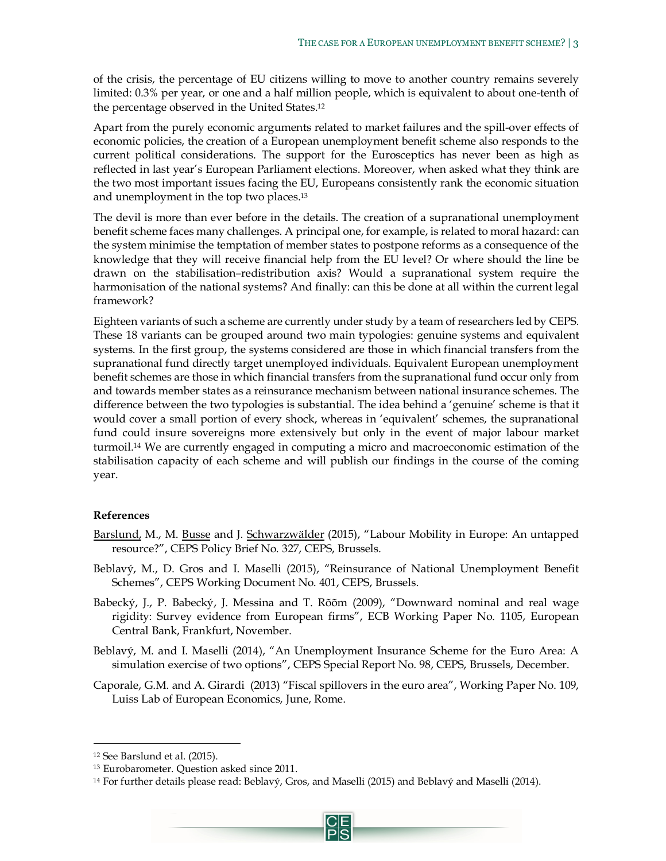of the crisis, the percentage of EU citizens willing to move to another country remains severely limited: 0.3% per year, or one and a half million people, which is equivalent to about one-tenth of the percentage observed in the United States.<sup>12</sup>

Apart from the purely economic arguments related to market failures and the spill-over effects of economic policies, the creation of a European unemployment benefit scheme also responds to the current political considerations. The support for the Eurosceptics has never been as high as reflected in last year's European Parliament elections. Moreover, when asked what they think are the two most important issues facing the EU, Europeans consistently rank the economic situation and unemployment in the top two places. 13

The devil is more than ever before in the details. The creation of a supranational unemployment benefit scheme faces many challenges. A principal one, for example, is related to moral hazard: can the system minimise the temptation of member states to postpone reforms as a consequence of the knowledge that they will receive financial help from the EU level? Or where should the line be drawn on the stabilisation–redistribution axis? Would a supranational system require the harmonisation of the national systems? And finally: can this be done at all within the current legal framework?

Eighteen variants of such a scheme are currently under study by a team of researchers led by CEPS. These 18 variants can be grouped around two main typologies: genuine systems and equivalent systems. In the first group, the systems considered are those in which financial transfers from the supranational fund directly target unemployed individuals. Equivalent European unemployment benefit schemes are those in which financial transfers from the supranational fund occur only from and towards member states as a reinsurance mechanism between national insurance schemes. The difference between the two typologies is substantial. The idea behind a 'genuine' scheme is that it would cover a small portion of every shock, whereas in 'equivalent' schemes, the supranational fund could insure sovereigns more extensively but only in the event of major labour market turmoil.<sup>14</sup> We are currently engaged in computing a micro and macroeconomic estimation of the stabilisation capacity of each scheme and will publish our findings in the course of the coming year.

## **References**

- Barslund, M., M. Busse and J. Schwarzwälder (2015), "Labour Mobility in Europe: An untapped resource?", CEPS Policy Brief No. 327, CEPS, Brussels.
- Beblavý, M., D. Gros and I. Maselli (2015), "Reinsurance of National Unemployment Benefit Schemes", CEPS Working Document No. 401, CEPS, Brussels.
- Babecký, J., P. Babecký, J. Messina and T. Rõõm (2009), "Downward nominal and real wage rigidity: Survey evidence from European firms", ECB Working Paper No. 1105, European Central Bank, Frankfurt, November.
- Beblavý, M. and I. Maselli (2014), "An Unemployment Insurance Scheme for the Euro Area: A simulation exercise of two options", CEPS Special Report No. 98, CEPS, Brussels, December.
- Caporale, G.M. and A. Girardi (2013) "Fiscal spillovers in the euro area", Working Paper No. 109, Luiss Lab of European Economics, June, Rome.

-

<sup>12</sup> See Barslund et al. (2015).

<sup>13</sup> Eurobarometer. Question asked since 2011.

<sup>14</sup> For further details please read: Beblavý, Gros, and Maselli (2015) and Beblavý and Maselli (2014).